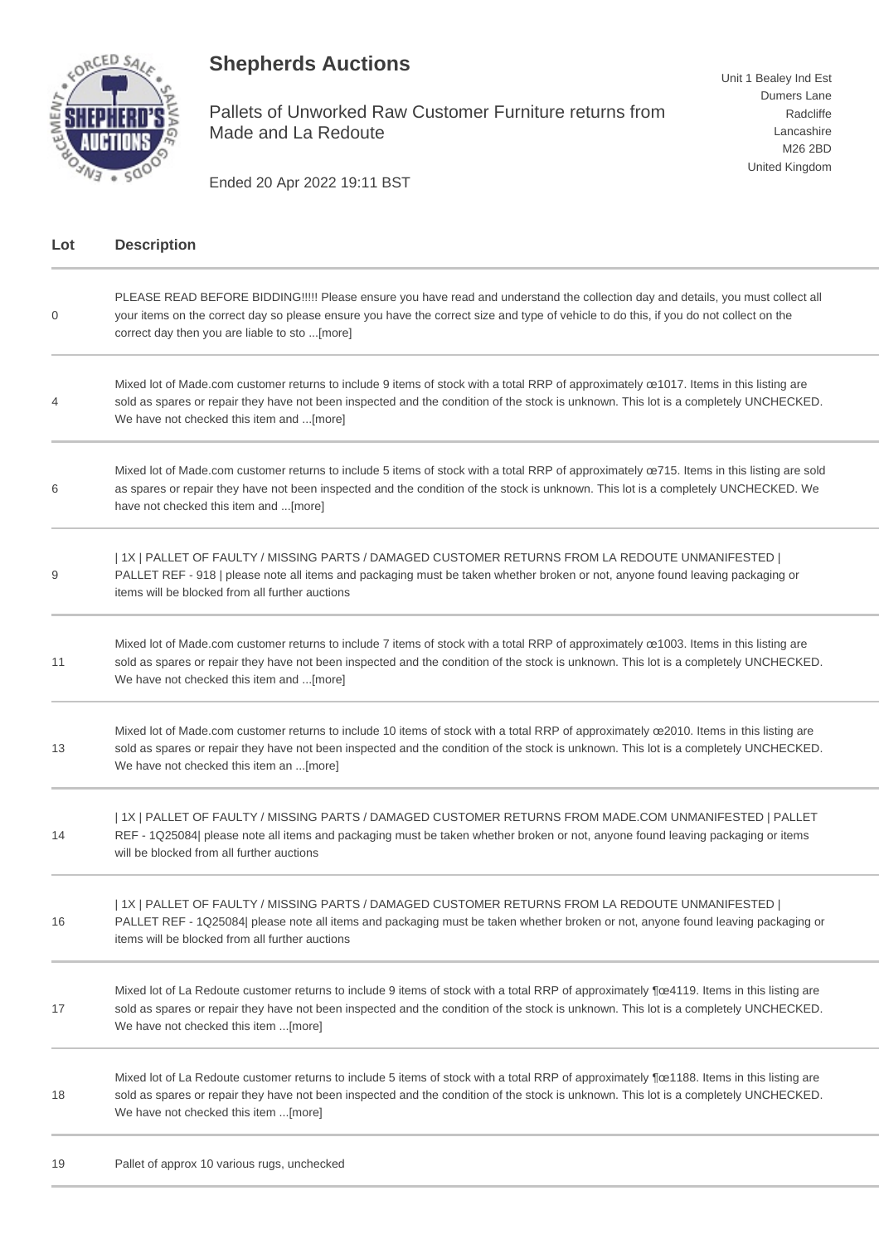## **Shepherds Auctions**



Pallets of Unworked Raw Customer Furniture returns from Made and La Redoute

Unit 1 Bealey Ind Est Dumers Lane Radcliffe Lancashire M26 2BD United Kingdom

Ended 20 Apr 2022 19:11 BST

| Lot | <b>Description</b>                                                                                                                                                                                                                                                                                                         |
|-----|----------------------------------------------------------------------------------------------------------------------------------------------------------------------------------------------------------------------------------------------------------------------------------------------------------------------------|
| 0   | PLEASE READ BEFORE BIDDING!!!!! Please ensure you have read and understand the collection day and details, you must collect all<br>your items on the correct day so please ensure you have the correct size and type of vehicle to do this, if you do not collect on the<br>correct day then you are liable to sto [more]  |
| 4   | Mixed lot of Made.com customer returns to include 9 items of stock with a total RRP of approximately ce1017. Items in this listing are<br>sold as spares or repair they have not been inspected and the condition of the stock is unknown. This lot is a completely UNCHECKED.<br>We have not checked this item and [more] |
| 6   | Mixed lot of Made.com customer returns to include 5 items of stock with a total RRP of approximately œ715. Items in this listing are sold<br>as spares or repair they have not been inspected and the condition of the stock is unknown. This lot is a completely UNCHECKED. We<br>have not checked this item and [more]   |
| 9   | 1X   PALLET OF FAULTY / MISSING PARTS / DAMAGED CUSTOMER RETURNS FROM LA REDOUTE UNMANIFESTED  <br>PALLET REF - 918   please note all items and packaging must be taken whether broken or not, anyone found leaving packaging or<br>items will be blocked from all further auctions                                        |
| 11  | Mixed lot of Made.com customer returns to include 7 items of stock with a total RRP of approximately ce1003. Items in this listing are<br>sold as spares or repair they have not been inspected and the condition of the stock is unknown. This lot is a completely UNCHECKED.<br>We have not checked this item and [more] |
| 13  | Mixed lot of Made.com customer returns to include 10 items of stock with a total RRP of approximately œ2010. Items in this listing are<br>sold as spares or repair they have not been inspected and the condition of the stock is unknown. This lot is a completely UNCHECKED.<br>We have not checked this item an [more]  |
| 14  | 1X   PALLET OF FAULTY / MISSING PARTS / DAMAGED CUSTOMER RETURNS FROM MADE.COM UNMANIFESTED   PALLET<br>REF - 1Q25084  please note all items and packaging must be taken whether broken or not, anyone found leaving packaging or items<br>will be blocked from all further auctions                                       |
| 16  | 1X   PALLET OF FAULTY / MISSING PARTS / DAMAGED CUSTOMER RETURNS FROM LA REDOUTE UNMANIFESTED  <br>PALLET REF - 1Q25084  please note all items and packaging must be taken whether broken or not, anyone found leaving packaging or<br>items will be blocked from all further auctions                                     |
| 17  | Mixed lot of La Redoute customer returns to include 9 items of stock with a total RRP of approximately ¶œ4119. Items in this listing are<br>sold as spares or repair they have not been inspected and the condition of the stock is unknown. This lot is a completely UNCHECKED.<br>We have not checked this item [more]   |
| 18  | Mixed lot of La Redoute customer returns to include 5 items of stock with a total RRP of approximately ¶œ1188. Items in this listing are<br>sold as spares or repair they have not been inspected and the condition of the stock is unknown. This lot is a completely UNCHECKED.<br>We have not checked this item [more]   |
| 19  | Pallet of approx 10 various rugs, unchecked                                                                                                                                                                                                                                                                                |